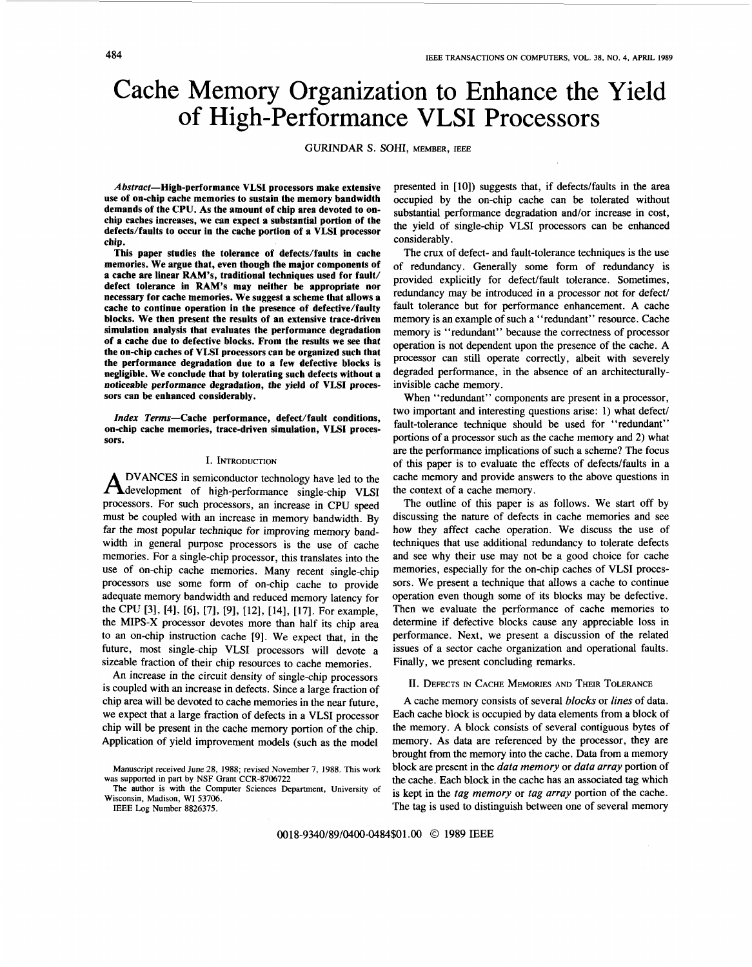# Cache Memory Organization to Enhance the Yield of High-Performance **VLSI** Processors

GURINDAR S. SOHI, MEMBER, IEEE

**Abstract-High-performance VLSI processors make extensive use of on-chip cache memories to sustain the memory bandwidth demands of the CPU. As the amount of chip area devoted to onchip caches increases, we can expect a substantial portion of the defects/faults to occur in the cache portion of a VLSI processor chip.** considerably.

**This paper studies the tolerance of defects/faults in cache memories. We argue that, even though the major components of a cache are linear RAM's, traditional techniques used for fault/ defect tolerance in RAM's may neither be appropriate nor necessary for cache memories. We suggest a scheme that allows a cache to continue operation in the presence of defective/faulty blocks. We then present the results of an extensive trace-driven simulation analysis that evaluates the performance degradation of a cache due to defective blocks. From the results we see that the on-chip caches of VLSI processors can be organized such that the performance degradation due to a few defective blocks is negligible. We conclude that by tolerating such defects without a noticeable performance degradation, the yield of VLSI processors can be enhanced considerably.** 

on-chip cache memories, trace-driven simulation, VLSI processors.

#### I. INTRODUCTION

**A** DVANCES in semiconductor technology have led to the A development of high-performance single-chip VLSI processors. For such processors, an increase in CPU speed must be coupled with an increase in memory bandwidth. By far the most popular technique for improving memory bandwidth in general purpose processors is the use of cache memories. For a single-chip processor, this translates into the use of on-chip cache memories. Many recent single-chip processors use some form of on-chip cache to provide adequate memory bandwidth and reduced memory latency for the CPU **[3], 141, [6], [7], [9], [12], [14], [17].** For example, the MIPS-X processor devotes more than half its chip area to an on-chip instruction cache **[9].** We expect that, in the future, most single-chip VLSI processors will devote a sizeable fraction of their chip resources to cache memories.

An increase in the circuit density of single-chip processors is coupled with an increase in defects. Since a large fraction of chip area will be devoted to cache memories in the near future, we expect that a large fraction of defects in a VLSI processor chip will be present in the cache memory portion of the chip. Application of yield improvement models (such as the model

Manuscript received **June** 28, 1988; revised November 7, 1988. This work was supported in part by NSF Grant CCR-8706722

The author is with the Computer Sciences Department, University of Wisconsin, Madison, WI 53706.

IEEE Log Number 8826375.

presented in [10]) suggests that, if defects/faults in the area occupied by the on-chip cache can be tolerated without the yield of single-chip vLsI processors can **be** enhanced substantial performance degradation and/or increase in cost,

The crux of defect- and fault-tolerance techniques is the use of redundancy. Generally some form of redundancy is provided explicitly for defect/fault tolerance. Sometimes, redundancy may be introduced in a processor not for defect' fault tolerance but for performance enhancement. A cache memory is an example of such a "redundant" resource. Cache memory is "redundant" because the correctness of processor operation is not dependent upon the presence of the cache. A processor can still operate correctly, albeit with severely degraded performance, in the absence of an architecturallyinvisible cache memory.

When "redundant" components are present in a processor, two important and interesting questions arise: **1)** what defect/ *Index Terms*—Cache performance, defect/fault conditions,<br> **Index Terms-Cache performance**, these driven simulation VISI process and fault-tolerance technique should be used for "redundant" **sors.** portions of a processor such as the cache memory and 2) what are the performance implications of such a scheme? The focus of this paper is to evaluate the effects of defects/faults in a cache memory and provide answers to the above questions in the context of a cache memory.

> The outline of this paper is as follows. We start off by discussing the nature of defects in cache memories and see how they affect cache operation. We discuss the use of techniques that use additional redundancy to tolerate defects and see why their use may not be a good choice for cache memories, especially for the on-chip caches of VLSI processors. We present a technique that allows a cache to continue operation even though some of its blocks may be defective. Then we evaluate the performance of cache memories to determine if defective blocks cause any appreciable **loss** in performance. Next, we present a discussion of the related issues of a sector cache organization and operational faults. Finally, we present concluding remarks.

#### 11. DEFECTS **IN** CACHE MEMORIES AND THEIR TOLERANCE

A cache memory consists of several *blocks* or *lines* of data. Each cache block is occupied by data elements from a block of the memory. A block consists of several contiguous bytes of memory. As data are referenced by the processor, they are brought from the memory into the cache. Data from a memory block are present in the *data memory* or *data array* portion of the cache. Each block in the cache has an associated tag which is kept in the *tag memory* or *tag array* portion of the cache. The tag is used to distinguish between one of several memory

**0018-9340/89/0400-0484\$01** *.oO 0* **<sup>1989</sup>**IEEE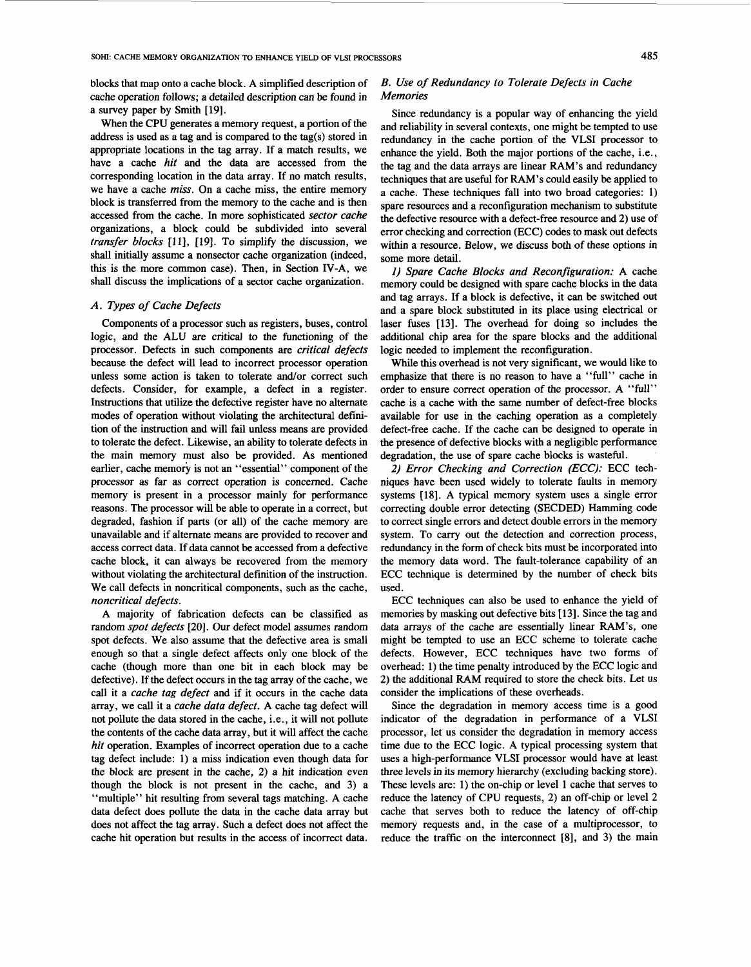blocks that map onto a cache block. A simplified description of cache operation follows; a detailed description can be found in a survey paper by Smith **[19].** 

When the CPU generates a memory request, a portion of the address is used as a tag and is compared to the tag(s) stored in appropriate locations in the tag array. If a match results, we have a cache *hit* and the data are accessed from the corresponding location in the data array. If no match results, we have a cache *miss.* On a cache miss, the entire memory block is transferred from the memory to the cache and is then accessed from the cache. In more sophisticated *sector cache*  organizations, a block could be subdivided into several *transfer blocks* **[ll], [19]. To** simplify the discussion, we shall initially assume a nonsector cache organization (indeed, this is the more common case). Then, in Section IV-A, we shall discuss the implications of a sector cache organization.

## *A. Types of Cache Defects*

Components of a processor such as registers, buses, control logic, and the ALU are critical to the functioning of the processor. Defects in such components are *critical defects*  because the defect will lead to incorrect processor operation unless some action is taken to tolerate and/or correct such defects. Consider, for example, a defect in a register. Instructions that utilize the defective register have no alternate modes of operation without violating the architectural definition of the instruction and will fail unless means are provided to tolerate the defect. Likewise, an ability to tolerate defects in the main memory must also be provided. As mentioned earlier, cache memory is not an "essential" component of the processor as far as correct operation is concerned. Cache memory is present in a processor mainly for performance reasons. The processor will be able to operate in a correct, but degraded, fashion if parts (or all) of the cache memory are unavailable and if alternate means are provided to recover and access correct data. If data cannot be accessed from a defective cache block, it can always be recovered from the memory without violating the architectural definition of the instruction. We call defects in noncritical components, such as the cache, *noncritical defects.* 

A majority of fabrication defects can be classified as random *spot defects* **[20].** Our defect model assumes random spot defects. We also assume that the defective area is small enough so that a single defect affects only one block of the cache (though more than one bit in each block may be defective). If the defect occurs in the tag array of the cache, we call it a *cache tag defect* and if it occurs in the cache data array, we call it a *cache data defect.* A cache tag defect will not pollute the data stored in the cache, i.e., it will not pollute the contents of the cache data array, but it will affect the cache *hit* operation. Examples of incorrect operation due to a cache tag defect include: **1)** a **miss** indication even though data for the block are present in the cache, **2)** a hit indication even though the block is not present in the cache, and **3)** a "multiple" hit resulting from several tags matching. A cache data defect does pollute the data in the cache data array but does not affect the tag array. Such a defect does not affect the cache hit operation but results in the access of incorrect data.

## *B. Use of Redundancy to Tolerate Defects in Cache Memories*

Since redundancy is a popular way of enhancing the yield and reliability in several contexts, one might be tempted to use redundancy in the cache portion of the VLSI processor to enhance the yield. Both the major portions of the cache, i.e., the tag and the data arrays are linear RAM's and redundancy techniques that are useful for RAM's could easily be applied to a cache. These techniques fall into two broad categories: **1)**  spare resources and a reconfiguration mechanism to substitute the defective resource with a defect-free resource and **2)** use of error checking and correction (ECC) codes to mask out defects within a resource. Below, we discuss both of these options in some more detail.

I) *Spare Cache Blocks and Reconfiguration:* A cache memory could be designed with spare cache blocks in the data and tag arrays. If a block is defective, it can be switched out and a spare block substituted in its place using electrical or laser fuses **[13].** The overhead for doing so includes the additional chip area for the spare blocks and the additional logic needed to implement the reconfiguration.

While this overhead is not very significant, we would like to emphasize that there is no reason to have a "full" cache in order to ensure correct operation of the processor. A "full" cache is a cache with the same number of defect-free blocks available for use in the caching operation as a completely defect-free cache. If the cache can be designed to operate in the presence of defective blocks with a negligible performance degradation, the use of spare cache blocks is wasteful.

2) Error *Checking and Correction (ECC):* ECC techniques have been used widely to tolerate faults in memory systems **[18].** A typical memory system uses a single error correcting double error detecting (SECDED) Hamming code to correct single errors and detect double errors in the memory system. To carry out the detection and correction process, redundancy in the form of check bits must be incorporated into the memory data word. The fault-tolerance capability of an ECC technique is determined by the number of check bits used.

ECC techniques can also be used to enhance the yield of memories by masking out defective bits [ **131.** Since the tag and data arrays of the cache are essentially linear RAM's, one might be tempted to use an ECC scheme to tolerate cache defects. However, ECC techniques have two forms of overhead: **1)** the time penalty introduced by the ECC logic and **2)** the additional RAM required to store the check bits. Let us consider the implications of these overheads.

Since the degradation in memory access time is a good indicator of the degradation in performance of a VLSI processor, let us consider the degradation in memory access time due to the ECC logic. A typical processing system that uses a high-performance VLSI processor would have at least three levels in its memory hierarchy (excluding backing store). These levels are: **1)** the on-chip or level **1** cache that serves to reduce the latency of CPU requests, 2) an off-chip or level 2 cache that serves both to reduce the latency of off-chip memory requests and, in the case of a multiprocessor, to reduce the traffic on the interconnect **[8],** and **3)** the main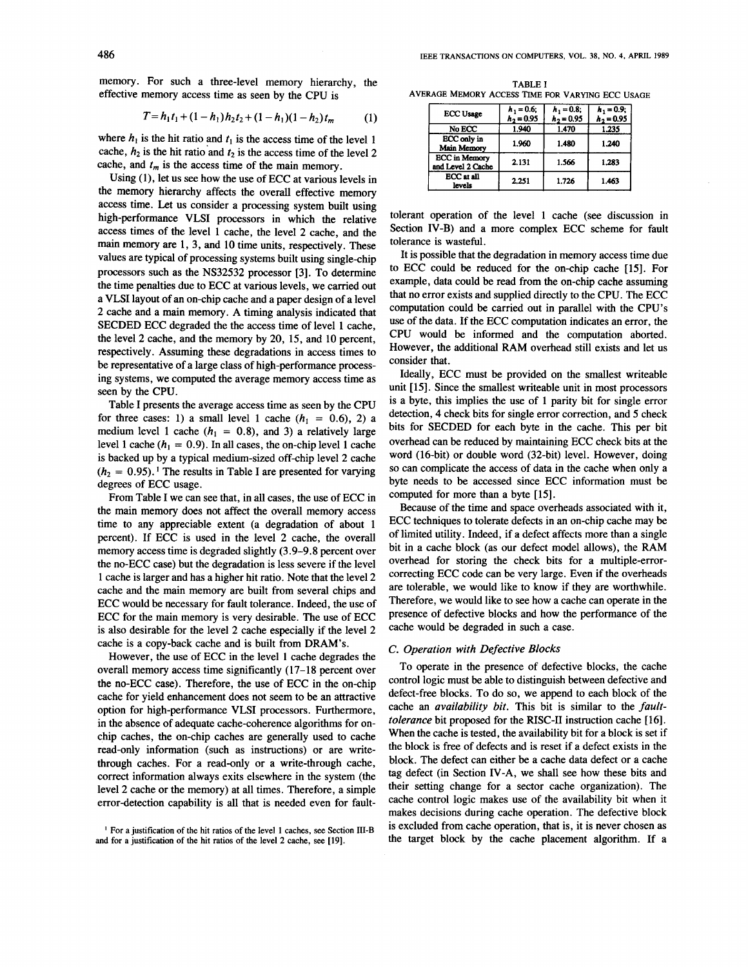memory. For such a three-level memory hierarchy, the effective memory access time as seen by the CPU is

$$
T = h_1 t_1 + (1 - h_1) h_2 t_2 + (1 - h_1) (1 - h_2) t_m \tag{1}
$$

where  $h_1$  is the hit ratio and  $t_1$  is the access time of the level 1 cache,  $h_2$  is the hit ratio and  $t_2$  is the access time of the level 2 cache, and  $t_m$  is the access time of the main memory.

Using (1), let us see how the use of ECC at various levels in the memory hierarchy affects the overall effective memory access time. Let us consider a processing system built using high-performance VLSI processors in which the relative access times of the level 1 cache, the level 2 cache, and the main memory are 1, 3, and 10 time units, respectively. These values are typical of processing systems built using single-chip processors such as the NS32532 processor [3]. To determine the time penalties due to ECC at various levels, we carried out a VLSI layout of an on-chip cache and a paper design of a level 2 cache and a main memory. A timing analysis indicated that SECDED ECC degraded the the access time of level 1 cache, the level 2 cache, and the memory by 20, 15, and 10 percent, respectively. Assuming these degradations in access times to be representative of a large class of high-performance processing systems, we computed the average memory access time as seen by the CPU.

Table I presents the average access time as seen by the CPU for three cases: 1) a small level 1 cache  $(h_1 = 0.6)$ , 2) a medium level 1 cache  $(h_1 = 0.8)$ , and 3) a relatively large level 1 cache  $(h_1 = 0.9)$ . In all cases, the on-chip level 1 cache is backed up by a typical medium-sized off-chip level 2 cache  $(h_2 = 0.95)$ .<sup>1</sup> The results in Table I are presented for varying degrees of ECC usage.

From Table I we can see that, in all cases, the use of ECC in the main memory does not affect the overall memory access time to any appreciable extent (a degradation of about 1 percent). If ECC is used in the level 2 cache, the overall memory access time is degraded slightly (3.9-9.8 percent over the no-ECC case) but the degradation is less severe if the level 1 cache is larger and has a higher hit ratio. Note that the level 2 cache and the main memory are built from several chips and ECC would be necessary for fault tolerance. Indeed, the use of ECC for the main memory is very desirable. The use of ECC is also desirable for the level 2 cache especially if the level 2 cache is a copy-back cache and is built from DRAM'S.

However, the use of ECC in the level 1 cache degrades the overall memory access time significantly (17-18 percent over the no-ECC case). Therefore, the use of ECC in the on-chip cache for yield enhancement does not seem to be an attractive option for high-performance VLSI processors. Furthermore, in the absence of adequate cache-coherence algorithms for onchip caches, the on-chip caches are generally used to cache read-only information (such as instructions) or are writethrough caches. For a read-only or a write-through cache, correct information always exits elsewhere in the system (the level 2 cache or the memory) at all times. Therefore, a simple error-detection capability is all that is needed even for fault-

**TABLE I AVERAGE MEMORY ACCESS TIME FOR VARYING ECC USAGE** 

| <b>ECC Usage</b>     | $h_1 = 0.6;$ | $h_1 = 0.8;$ | $h_1 = 0.9;$ |  |
|----------------------|--------------|--------------|--------------|--|
|                      | $h_2 = 0.95$ | $h_2 = 0.95$ | $h_2 = 0.95$ |  |
| No ECC               | 1.940        | 1.470        | 1.235        |  |
| ECC only in          | 1.960        | 1.480        | 1.240        |  |
| Main Memory          |              |              |              |  |
| <b>ECC</b> in Memory | 2.131        | 1.566        | 1.283        |  |
| and Level 2 Cache    |              |              |              |  |
| ECC at all           | 2.251        | 1.726        | 1.463        |  |
| levels               |              |              |              |  |

tolerant operation of the level 1 cache (see discussion in Section IV-B) and a more complex ECC scheme for fault tolerance is wasteful.

It is possible that the degradation in memory access time due to ECC could be reduced for the on-chip cache [15]. For example, data could be read from the on-chip cache assuming that no error exists and supplied directly to the CPU. The ECC computation could be carried out in parallel with the CPU's use of the data. If the ECC computation indicates an error, the CPU would be informed and the computation aborted. However, the additional RAM overhead still exists and let us consider that.

Ideally, ECC must be provided on the smallest writeable unit [15]. Since the smallest writeable unit in most processors is a byte, this implies the use of 1 parity bit for single error detection, **4** check bits for single error correction, and 5 check bits for SECDED for each byte in the cache. This per bit overhead can be reduced by maintaining ECC check bits at the word (16-bit) or double word (32-bit) level. However, doing so can complicate the access of data in the cache when only a byte needs to be accessed since ECC information must be computed for more than a byte [15].

Because of the time and space overheads associated with it, ECC techniques to tolerate defects in an on-chip cache may be of limited utility. Indeed, if a defect affects more than a single bit in a cache block (as our defect model allows), the RAM overhead for storing the check bits for a multiple-errorcorrecting ECC code can be very large. Even if the overheads are tolerable, we would like to know if they are worthwhile. Therefore, we would like to see how a cache can operate in the presence of defective blocks and how the performance of the cache would be degraded in such a case.

#### *C. Operation with Defective Blocks*

To operate in the presence of defective blocks, the cache control logic must be able to distinguish between defective and defect-free blocks. To do so, we append to each block of the cache an *availability bit.* This bit is similar to the *faulttolerance* bit proposed for the RISC-II instruction cache [16]. When the cache is tested, the availability bit for a block is set if the block is free of defects and is reset if a defect exists in the block. The defect can either be a cache data defect or a cache tag defect (in Section IV-A, we shall see how these bits and their setting change for a sector cache organization). The cache control logic makes use of the availability bit when it makes decisions during cache operation. The defective block is excluded from cache operation, that is, it is never chosen as the target block by the cache placement algorithm. If a

<sup>&#</sup>x27; **For a justification** of **the hit ratios** of **the level 1 caches,** *see* **Section IU-B and** for **a justification** of **the hit ratios** of **the level 2 cache, see [19].**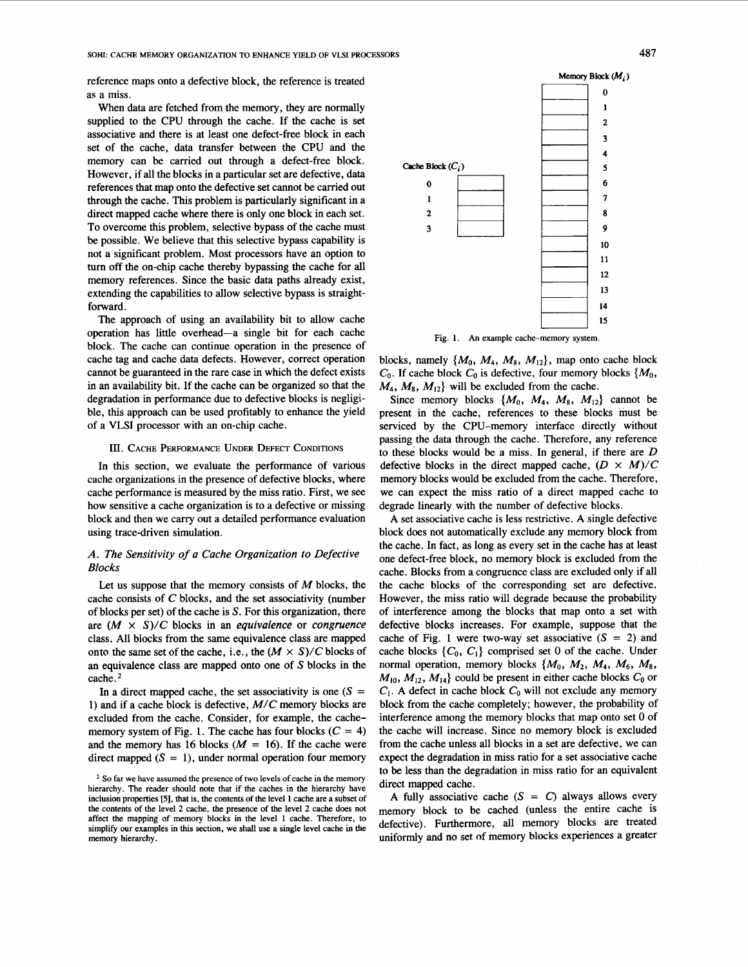reference maps onto a defective block, the reference is treated as a miss.

When data are fetched from the memory, they are normally supplied to the CPU through the cache. If the cache is set associative and there is at least one defect-free block in each set of the cache, data transfer between the CPU and the memory can be carried out through a defect-free block. However, if all the blocks in a particular set are defective, data references that map onto the defective set cannot be carried out through the cache. This problem is particularly significant in a direct mapped cache where there is only one block in each set. To overcome this problem, selective bypass of the cache must be possible. We believe that this selective bypass capability is not a significant problem. Most processors have an option to **turn** off the on-chip cache thereby bypassing the cache for all memory references. Since the basic data paths already exist, extending the capabilities to allow selective bypass is straightforward.

The approach of using an availability bit to allow cache operation has little overhead-a single bit for each cache block. The cache can continue operation in the presence of cache tag and cache data defects. However, correct operation cannot be guaranteed in the rare case in which the defect exists in an availability bit. If the cache can be organized so that the degradation in performance due to defective blocks is negligible, this approach can be used profitably to enhance the yield of a VLSI processor with an on-chip cache.

#### III. CACHE PERFORMANCE UNDER DEFECT CONDITIONS

In this section, we evaluate the performance of various cache organizations in the presence of defective blocks, where cache performance is measured by the miss ratio. First, we see how sensitive a cache organization is to a defective or missing block and then we carry out a detailed performance evaluation using trace-driven simulation.

## *A. The Sensitivity of a Cache Organization to Defective Blocks*

Let us suppose that the memory consists of *M* blocks, the cache consists of *C* blocks, and the set associativity (number of blocks per set) of the cache is *S.* For this organization, there are  $(M \times S)/C$  blocks in an *equivalence* or *congruence* class. All blocks from the same equivalence class are mapped onto the same set of the cache, i.e., the  $(M \times S)/C$  blocks of an equivalence class are mapped onto one of *S* blocks in the cache.<sup>2</sup>

In a direct mapped cache, the set associativity is one  $(S =$ 1) and if a cache block is defective, *M/C* memory blocks are excluded from the cache. Consider, for example, the cachememory system of Fig. 1. The cache has four blocks  $(C = 4)$ and the memory has 16 blocks  $(M = 16)$ . If the cache were direct mapped  $(S = 1)$ , under normal operation four memory



**Fig. 1. An example cache-memory system.** 

blocks, namely  $\{M_0, M_4, M_8, M_{12}\}$ , map onto cache block  $C_0$ . If cache block  $C_0$  is defective, four memory blocks  $\{M_0,$  $M_4$ ,  $M_8$ ,  $M_{12}$  will be excluded from the cache.

Since memory blocks  $\{M_0, M_4, M_8, M_{12}\}\$  cannot be present in the cache, references to these blocks must be serviced by the CPU-memory interface directly without passing the data through the cache. Therefore, any reference to these blocks would be a miss. In general, if there are *D*  defective blocks in the direct mapped cache,  $(D \times M)/C$ memory blocks would be excluded from the cache. Therefore, we can expect the **miss** ratio of a direct mapped cache to degrade linearly with the number of defective blocks.

A set associative cache is less restrictive. A single defective block does not automatically exclude any memory block from the cache. In fact, as long as every set in the cache has at least one defect-free block, no memory block is excluded from the cache. Blocks from a congruence class are excluded only if all the cache blocks of the corresponding set are defective. However, the miss ratio will degrade because the probability of interference among the blocks that map onto a set with defective blocks increases. For example, suppose that the cache of Fig. 1 were two-way set associative  $(S = 2)$  and cache blocks  $\{C_0, C_1\}$  comprised set 0 of the cache. Under normal operation, memory blocks  $\{M_0, M_2, M_4, M_6, M_8,$  $M_{10}$ ,  $M_{12}$ ,  $M_{14}$ } could be present in either cache blocks  $C_0$  or  $C_1$ . A defect in cache block  $C_0$  will not exclude any memory block from the cache completely; however, the probability of interference among the memory blocks that map onto set 0 of the cache will increase. Since no memory block is excluded from the cache unless all blocks in a set are defective, we can expect the degradation in **miss** ratio for a set associative cache to be less than the degradation in miss ratio for an equivalent direct mapped cache.

A fully associative cache  $(S = C)$  always allows every memory block to be cached (unless the entire cache is defective). Furthermore, all memory blocks are treated uniformly and no set of memory blocks experiences a greater

<sup>&</sup>lt;sup>2</sup> So far we have assumed the presence of two levels of cache in the memory **hierarchy. The reader should note that if the caches in the hierarchy have inclusion properties** *[5],* **that is, the contents of the level 1 cache are a subset of the contents of the level 2 cache, the presence of the level 2 cache does not affect the mapping of memory blocks in the level 1 cache. Therefore, to simplify our examples in this section, we shall use a single level cache in the memory hierarchy.**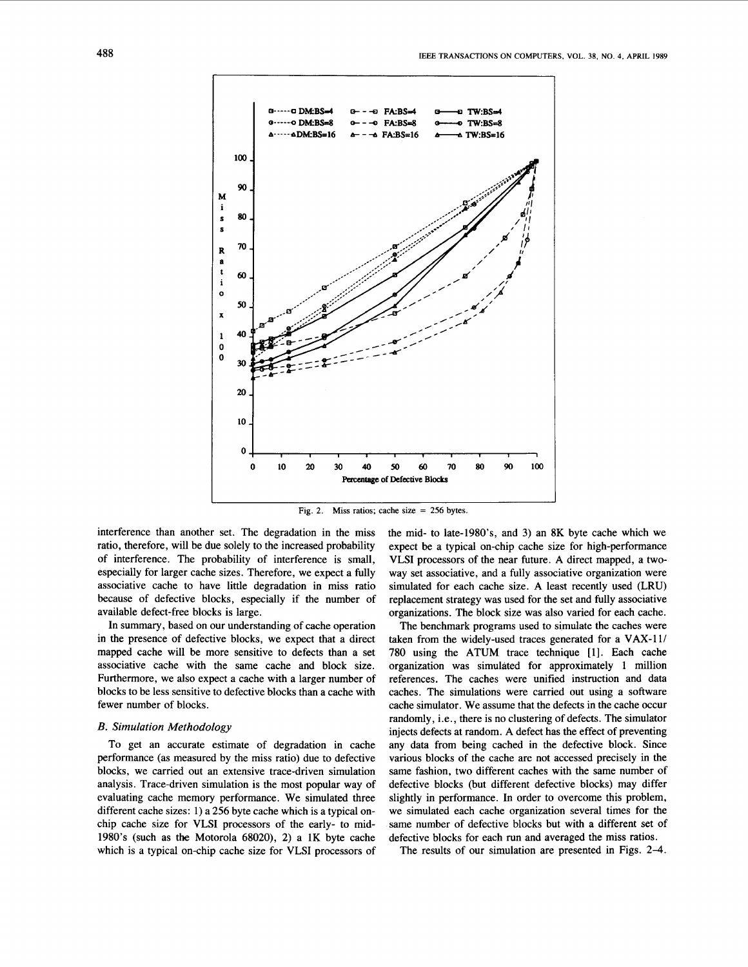

**Fig. 2. Miss ratios; cache size** = **256 bytes.** 

interference than another set. The degradation in the miss ratio, therefore, will be due solely to the increased probability of interference. The probability of interference is small, especially for larger cache sizes. Therefore, we expect a fully associative cache to have little degradation in miss ratio because of defective blocks, especially if the number of available defect-free blocks is large.

In summary, based on our understanding of cache operation in the presence of defective blocks, we expect that a direct mapped cache will be more sensitive to defects than a set associative cache with the same cache and block size. Furthermore, we also expect a cache with a larger number of blocks to be less sensitive to defective blocks than a cache with fewer number of blocks.

## *B. Simulation Methodology*

To get an accurate estimate of degradation in cache performance (as measured by the miss ratio) due to defective blocks, we carried out an extensive trace-driven simulation analysis. Trace-driven simulation is the most popular way of evaluating cache memory performance. We simulated three different cache sizes: 1) a 256 byte cache which is a typical onchip cache size for VLSI processors of the early- to mid-1980's (such as the Motorola 68020), 2) a **1K** byte cache which is a typical on-chip cache size for VLSI processors of

the mid- to late-l980's, and 3) an 8K byte cache which we expect be a typical on-chip cache size for high-performance VLSI processors of the near future. A direct mapped, a twoway set associative, and a fully associative organization were simulated for each cache size. A least recently used (LRU) replacement strategy was used for the set and fully associative organizations. The block size was also varied for each cache.

The benchmark programs used to simulate the caches were taken from the widely-used traces generated for a  $VAX-11/$ 780 using the ATUM trace technique **[l].** Each cache organization was simulated for approximately 1 million references. The caches were unified instruction and data caches. The simulations were carried out using a software cache simulator. We assume that the defects in the cache occur randomly, i.e., there is no clustering of defects. The simulator injects defects at random. A defect has the effect of preventing any data from being cached in the defective block. Since various blocks of the cache are not accessed precisely in the same fashion, two different caches with the same number of defective blocks (but different defective blocks) may differ slightly in performance. In order to overcome this problem, we simulated each cache organization several times for the same number of defective blocks but with a different set of defective blocks for each run and averaged the miss ratios.

The results of our simulation are presented in Figs. 2-4.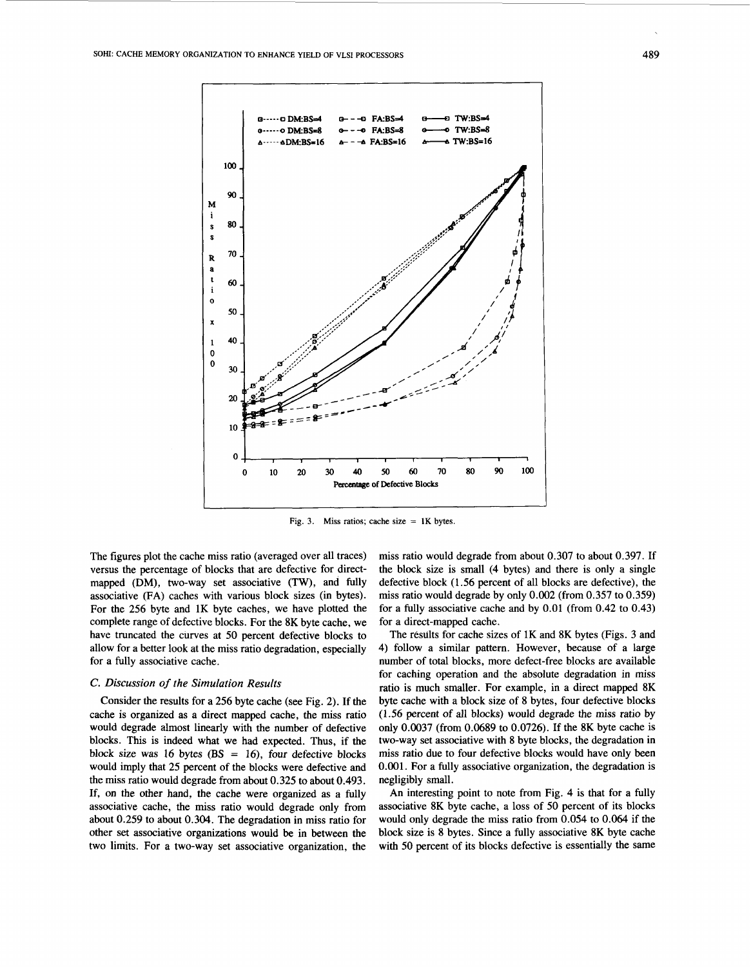

**Fig. 3.** Miss **ratios; cache size** = **1K bytes.** 

The figures plot the cache miss ratio (averaged over all traces) versus the percentage of blocks that are defective for directmapped (DM), two-way set associative (TW), and fully associative (FA) caches with various block sizes (in bytes). For the 256 byte and 1K byte caches, we have plotted the complete range of defective blocks. For the **8K** byte cache, we have truncated the curves at 50 percent defective blocks to allow for a better look at the miss ratio degradation, especially for a fully associative cache.

## **C.** *Discussion of the Simulation Results*

Consider the results for a 256 byte cache (see Fig. 2). If the cache is organized as a direct mapped cache, the **miss** ratio would degrade almost linearly with the number of defective blocks. This is indeed what we had expected. Thus, if the block size was 16 bytes ( $BS = 16$ ), four defective blocks would imply that 25 percent of the blocks were defective and the miss ratio would degrade from about 0.325 to about 0.493. If, on the other hand, the cache were organized **as** a fully associative cache, the miss ratio would degrade only from about 0.259 to about 0.304. The degradation in **miss** ratio for other set associative organizations would be in between the two limits. For a two-way set associative organization, the

miss ratio would degrade from about 0.307 to about 0.397. If the block size is small (4 bytes) and there is only a single defective block (1.56 percent of all blocks are defective), the miss ratio would degrade by only 0.002 (from 0.357 to 0.359) for a fully associative cache and by 0.01 (from 0.42 to 0.43) for a direct-mapped cache.

The results for cache sizes of 1K and 8K bytes (Figs. 3 and 4) follow a similar pattern. However, because of a large number of total blocks, more defect-free blocks are available for caching operation and the absolute degradation in miss ratio is much smaller. For example, in a direct mapped 8K byte cache with a block size of 8 bytes, four defective blocks (1.56 percent of all blocks) would degrade the miss ratio by only 0.0037 (from 0.0689 to 0.0726). If the 8K byte cache is two-way set associative with 8 byte blocks, the degradation in miss ratio due to four defective blocks would have only **been**  0.001. For a fully associative organization, the degradation is negligibly small.

An interesting point to note from [Fig. 4](#page-6-0) is that for a fully associative 8K byte cache, a loss of 50 percent of its blocks would only degrade the miss ratio from 0.054 to 0.064 if the block size is 8 bytes. Since a fully associative 8K byte cache with 50 percent of its blocks defective is essentially the same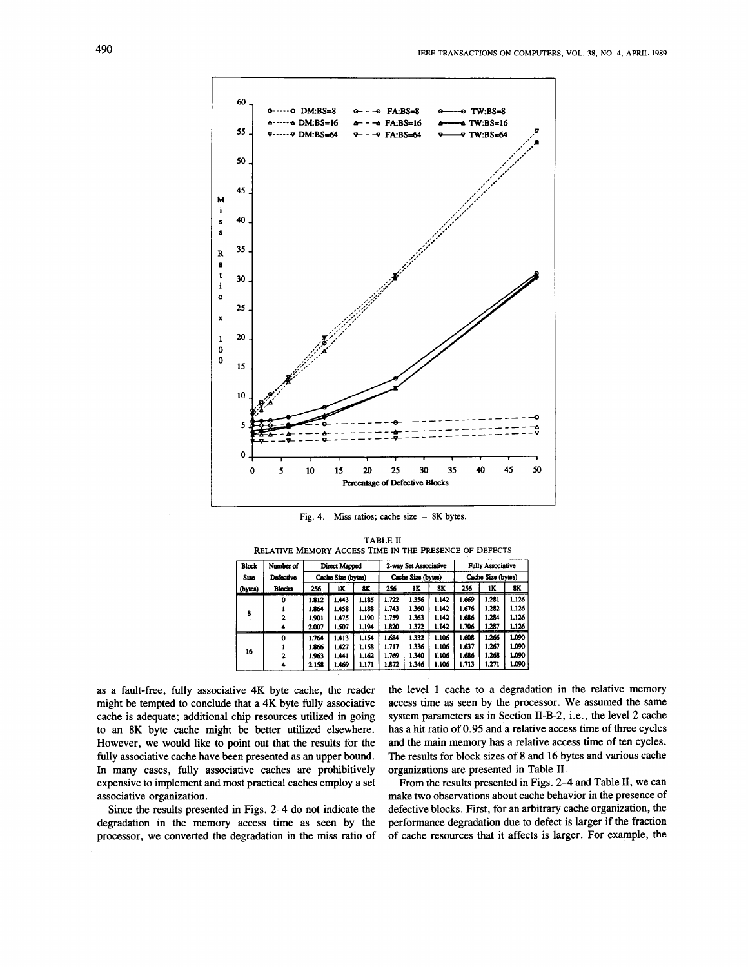<span id="page-6-0"></span>

Fig. **4.** Miss **ratios; cache** *size* = **8K bytes.** 

| <b>TABLE II</b>                                        |  |  |  |  |  |  |  |  |  |
|--------------------------------------------------------|--|--|--|--|--|--|--|--|--|
| RELATIVE MEMORY ACCESS TIME IN THE PRESENCE OF DEFECTS |  |  |  |  |  |  |  |  |  |

| <b>Block</b> | Number of       | Direct Mapped      |       | 2-way Set Associative<br>Cache Size (bytes) |       |       | <b>Fully Associative</b><br>Cache Size (bytes) |       |       |       |
|--------------|-----------------|--------------------|-------|---------------------------------------------|-------|-------|------------------------------------------------|-------|-------|-------|
| Size         | Defective       | Cache Size (bytes) |       |                                             |       |       |                                                |       |       |       |
| (bytes)      | <b>Blocks</b>   | 256                | 1K    | 8K                                          | 256   | 1K    | 8K                                             | 256   | ıĸ    | 8K    |
| 8            | o               | 1.812              | 1.443 | 1.185                                       | 1.722 | 1.356 | 1.142                                          | 1.669 | 1.281 | 1.126 |
|              |                 | 1.864              | 1.458 | 1.188                                       | 1.743 | 1.360 | 1.142                                          | 1.676 | 1.282 | 1.126 |
|              |                 | 1.901              | 1.475 | 1.190                                       | 1.759 | 1.363 | 1.142                                          | 1.686 | 1.284 | 1.126 |
|              | ويوازق الأرادان | 2.007              | 1.507 | 1.194                                       | 1.820 | 1.372 | 1.142                                          | 1.706 | 1.287 | 1.126 |
| ------<br>16 | o               | 1.764              | 1.413 | 1.154                                       | 1.684 | 1.332 | 1.106                                          | 1.608 | 1.266 | 1.090 |
|              |                 | 1.866              | 1.427 | 1.158                                       | 1.717 | 1.336 | 1.106                                          | 1.637 | 1.267 | 1.090 |
|              |                 | 1.963              | 1.441 | 1.162                                       | 1.769 | 1.340 | 1.106                                          | 1.686 | 1.268 | 1.090 |
|              |                 | 2.158              | 1.469 | 1.171                                       | 1.872 | 1346  | 1.106                                          | 1.713 | 1.271 | 1.090 |

as a fault-free, fully associative **4K** byte cache, the reader might be tempted to conclude that a **4K** byte fully associative cache is adequate; additional chip resources utilized in going to an **8K** byte cache might be better utilized elsewhere. However, we would like to point out that the results for the fully associative cache have been presented as an upper bound. In many cases, fully associative caches are prohibitively expensive to implement and most practical caches employ a set associative organization.

Since the results presented in Figs. 2-4 do not indicate the degradation in the memory access time as seen by the processor, we converted the degradation in the **miss** ratio of

the level 1 cache to a degradation in the relative memory access time as seen by the processor. We assumed the same system parameters as in Section 11-B-2, i.e., the level 2 cache has a hit ratio of 0.95 and a relative access time of three cycles and the main memory has a relative access time of ten cycles. The results for block sizes of 8 and 16 bytes and various cache organizations are presented in Table II.

From the results presented in Figs. 2-4 and Table 11, we can make two observations about cache behavior in the presence of defective blocks. First, for an arbitrary cache organization, the performance degradation due to defect is larger if the fraction of cache resources that it affects is larger. For example, the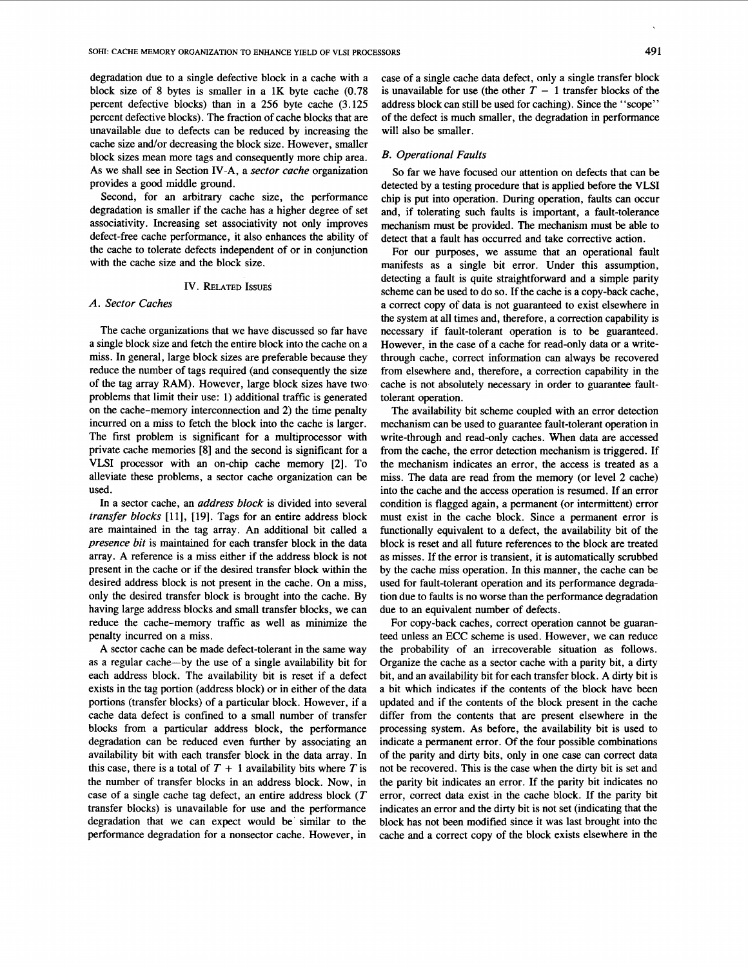degradation due to a single defective block in a cache with a block size of 8 bytes is smaller in a **1K** byte cache (0.78 percent defective blocks) than in a **256** byte cache **(3.125**  percent defective blocks). The fraction of cache blocks that are unavailable due to defects can be reduced by increasing the cache size and/or decreasing the block size. However, smaller block sizes mean more tags and consequently more chip area. As we shall see in Section IV-A, a *sector cache* organization provides a good middle ground.

Second, for an arbitrary cache size, the performance degradation is smaller if the cache has a higher degree of set associativity. Increasing set associativity not only improves defect-free cache performance, it also enhances the ability of the cache to tolerate defects independent of or in conjunction with the cache size and the block size.

#### IV. **RELATED** ISSUES

## *A. Sector Caches*

The cache organizations that we have discussed so far have a single block size and fetch the entire block into the cache on a miss. In general, large block sizes are preferable because they reduce the number of tags required (and consequently the size of the tag array RAM). However, large block sizes have two problems that limit their use: **1)** additional traffic is generated on the cache-memory interconnection and **2)** the time penalty incurred on a miss to fetch the block into the cache is larger. The first problem is significant for a multiprocessor with private cache memories **[8]** and the second is significant for a VLSI processor with an on-chip cache memory **[2].** To alleviate these problems, a sector cache organization can be used.

In a sector cache, an *address block* is divided into several *transfer blocks* **[ll], [19].** Tags for an entire address block are maintained in the tag array. An additional bit called a *presence bit* is maintained for each transfer block in the data array. A reference is a miss either if the address block is not present in the cache or if the desired transfer block within the desired address block is not present in the cache. On a miss, only the desired transfer block is brought into the cache. By having large address blocks and small transfer blocks, we can reduce the cache-memory traffic as well as minimize the penalty incurred on a miss.

A sector cache can be made defect-tolerant in the same way as a regular cache-by the use of a single availability bit for each address block. The availability bit is reset if a defect exists in the tag portion (address block) or in either of the data portions (transfer blocks) of a particular block. However, if a cache data defect is confined to a small number of transfer blocks from a particular address block, the performance degradation can be reduced even further by associating an availability bit with each transfer block in the data array. In this case, there is a total of  $T + 1$  availability bits where T is the number of transfer blocks in an address block. Now, in case of a single cache tag defect, an entire address block (T transfer blocks) is unavailable for use and the performance degradation that we can expect would be' similar to the performance degradation for a nonsector cache. However, in

case of a single cache data defect, only a single transfer block is unavailable for use (the other  $T - 1$  transfer blocks of the address block can still be used for caching). Since the "scope" of the defect is much smaller, the degradation in performance will also be smaller.

## *B. Operational Faults*

So far we have focused our attention on defects that can be detected by a testing procedure that is applied before the VLSI chip is put into operation. During operation, faults can occur and, if tolerating such faults is important, a fault-tolerance mechanism must be provided. The mechanism must be able to detect that a fault has occurred and take corrective action.

For our purposes, we assume that an operational fault manifests as a single bit error. Under this assumption, detecting a fault is quite straightforward and a simple parity scheme can be used to do so. If the cache is a copy-back cache, a correct copy of data is not guaranteed to exist elsewhere in the system at all times and, therefore, a correction capability is necessary if fault-tolerant operation is to be guaranteed. However, in the case of a cache for read-only data or a writethrough cache, correct information can always be recovered from elsewhere and, therefore, a correction capability in the cache is not absolutely necessary in order to guarantee faulttolerant operation.

The availability bit scheme coupled with an error detection mechanism can be used to guarantee fault-tolerant operation in write-through and read-only caches. When data are accessed from the cache, the error detection mechanism is triggered. If the mechanism indicates an error, the access is treated as a miss. The data are read from the memory (or level **2** cache) into the cache and the access operation is resumed. If an error condition is flagged again, a permanent (or intermittent) error must exist in the cache block. Since a permanent error is functionally equivalent to a defect, the availability bit of the block is reset and all future references to the block are treated as misses. If the error is transient, it is automatically scrubbed by the cache miss operation. In this manner, the cache can be used for fault-tolerant operation and its performance degradation due to faults is no worse than the performance degradation due to an equivalent number of defects.

For copy-back caches, correct operation cannot be guaranteed unless an ECC scheme is used. However, we can reduce the probability of an irrecoverable situation as follows. Organize the cache as a sector cache with a parity bit, a dirty bit, and an availability bit for each transfer block. **A** dirty bit is a bit which indicates if the contents of the block have been updated and if the contents of the block present in the cache differ from the contents that are present elsewhere in the processing system. As before, the availability bit is used to indicate a permanent error. Of the four possible combinations of the parity and dirty bits, only in one case can correct data not be recovered. This is the case when the dirty bit is set and the parity bit indicates an error. If the parity bit indicates no error, correct data exist in the cache block. If the parity bit indicates an error and the dirty bit is not set (indicating that the block has not been modified since it was last brought into the cache and a correct copy of the block exists elsewhere in the